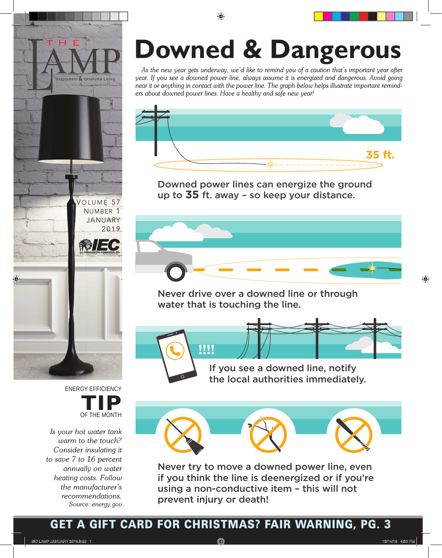



*Is your hot water tank warm to the touch? Consider insulating it to save 7 to 16 percent annually on water heating costs. Follow the manufacturer's recommendations. Source: energy.gov*

# **Dangerous Downed & Dangerous**

As the new year gets underway, we'd like to remind you of a caution that's important year after year. If you see a downed power line, always assume it is energized and dangerous. Avoid going near it or anything in contact with the power line. The graph below helps illustrate important remind-<br>ers about downed nower lines. Have a healthy and safe new vearl *ers about downed power lines. Have a healthy and safe new year!*



Downed power lines can energize the ground up to **35** ft. away – so keep your distance.



Never drive over a downed line or through water that is touching the line.

**!!!!**

If you see a downed line, notify the local authorities immediately.



Never try to move a downed power line, even if you think the line is deenergized or if you're using a non-conductive item – this will not prevent injury or death!

#### *Source: ESFI.org* GET A GIFT CARD FOR CHRISTMAS? FAIR WARNING, PG. 3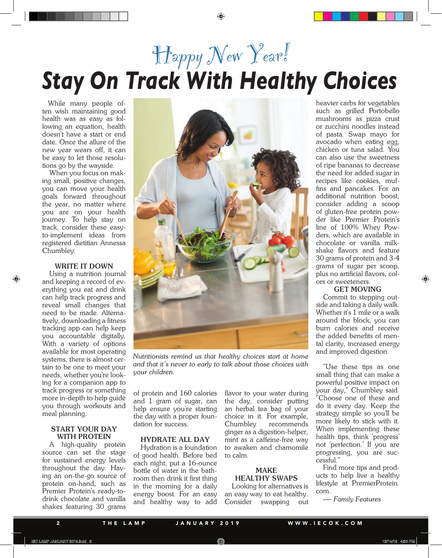## Happy New Year! *Stay On Track With Healthy Choices*

While many people often wish maintaining good health was as easy as following an equation, health doesn't have a start or end date. Once the allure of the new year wears off, it can be easy to let those resolutions go by the wayside.

When you focus on making small, positive changes, you can move your health goals forward throughout the year, no matter where you are on your health journey. To help stay on track, consider these easyto-implement ideas from registered dietitian Annessa Chumbley:

#### **WRITE IT DOWN**

Using a nutrition journal and keeping a record of everything you eat and drink can help track progress and reveal small changes that need to be made. Alternatively, downloading a fitness tracking app can help keep you accountable digitally. With a variety of options available for most operating systems, there is almost certain to be one to meet your needs, whether you're looking for a companion app to track progress or something more in-depth to help guide you through workouts and meal planning.

#### **START YOUR DAY WITH PROTEIN**

A high-quality protein source can set the stage for sustained energy levels throughout the day. Having an on-the-go source of protein on-hand, such as Premier Protein's ready-todrink chocolate and vanilla shakes featuring 30 grams



*Nutritionists remind us that healthy choices start at home and that it's never to early to talk about those choices with your children.*

of protein and 160 calories and 1 gram of sugar, can help ensure you're starting the day with a proper foundation for success.

#### **HYDRATE ALL DAY**

Hydration is a foundation of good health. Before bed each night, put a 16-ounce bottle of water in the bathroom then drink it first thing in the morning for a daily energy boost. For an easy and healthy way to add flavor to your water during the day, consider putting an herbal tea bag of your choice in it. For example, Chumbley recommends ginger as a digestion-helper, mint as a caffeine-free way to awaken and chamomile to calm.

#### **MAKE HEALTHY SWAPS**

Looking for alternatives is an easy way to eat healthy. Consider swapping out heavier carbs for vegetables such as grilled Portobello mushrooms as pizza crust or zucchini noodles instead of pasta. Swap mayo for avocado when eating egg, chicken or tuna salad. You can also use the sweetness of ripe bananas to decrease the need for added sugar in recipes like cookies, muffins and pancakes. For an additional nutrition boost, consider adding a scoop of gluten-free protein powder like Premier Protein's line of 100% Whey Powders, which are available in chocolate or vanilla milkshake flavors and feature 30 grams of protein and 3-4 grams of sugar per scoop, plus no artificial flavors, colors or sweeteners.

#### **GET MOVING**

Commit to stepping outside and taking a daily walk. Whether it's 1 mile or a walk around the block, you can burn calories and receive the added benefits of mental clarity, increased energy and improved digestion.

"Use these tips as one small thing that can make a powerful positive impact on your day," Chumbley said. "Choose one of these and do it every day. Keep the strategy simple so you'll be more likely to stick with it. When implementing these health tips, think 'progress' not 'perfection.' If you are progressing, you are successful."

Find more tips and products to help live a healthy lifestyle at PremierProtein. com.

— *Family Features*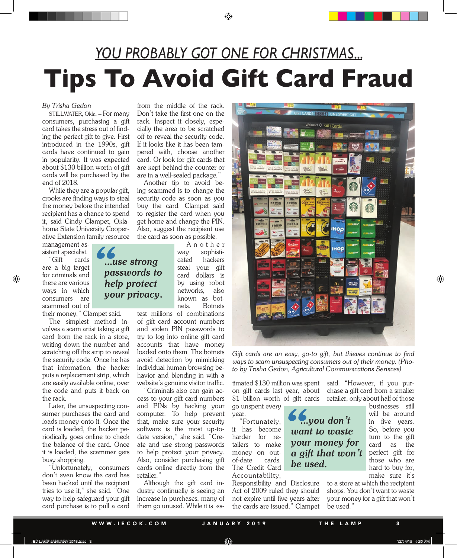### *YOU PROBABLY GOT ONE FOR CHRISTMAS...* **Tips To Avoid Gift Card Fraud**

#### *By Trisha Gedon*

STILLWATER, Okla. – For many consumers, purchasing a gift card takes the stress out of finding the perfect gift to give. First introduced in the 1990s, gift cards have continued to gain in popularity. It was expected about \$130 billion worth of gift cards will be purchased by the end of 2018.

While they are a popular gift, crooks are finding ways to steal the money before the intended recipient has a chance to spend it, said Cindy Clampet, Oklahoma State University Cooperative Extension family resource

management assistant specialist.

"Gift cards are a big target for criminals and there are various ways in which consumers are scammed out of

their money," Clampet said.

The simplest method involves a scam artist taking a gift card from the rack in a store, writing down the number and scratching off the strip to reveal the security code. Once he has that information, the hacker puts a replacement strip, which are easily available online, over the code and puts it back on the rack.

Later, the unsuspecting consumer purchases the card and loads money onto it. Once the card is loaded, the hacker periodically goes online to check the balance of the card. Once it is loaded, the scammer gets busy shopping.

"Unfortunately, consumers don't even know the card has been hacked until the recipient tries to use it," she said. "One way to help safeguard your gift card purchase is to pull a card

from the middle of the rack. Don't take the first one on the rack. Inspect it closely, especially the area to be scratched off to reveal the security code. If it looks like it has been tampered with, choose another card. Or look for gift cards that are kept behind the counter or are in a well-sealed package."

Another tip to avoid being scammed is to change the security code as soon as you buy the card. Clampet said to register the card when you get home and change the PIN. Also, suggest the recipient use the card as soon as possible.

> A n o t h e r way sophisticated hackers steal your gift card dollars is by using robot networks, also known as botnets. Botnets

test millions of combinations of gift card account numbers and stolen PIN passwords to try to log into online gift card accounts that have money loaded onto them. The botnets avoid detection by mimicking individual human browsing behavior and blending in with a website's genuine visitor traffic.

"Criminals also can gain access to your gift card numbers and PINs by hacking your computer. To help prevent that, make sure your security software is the most up-todate version," she said. "Create and use strong passwords to help protect your privacy. Also, consider purchasing gift cards online directly from the retailer."

Although the gift card industry continually is seeing an increase in purchases, many of them go unused. While it is es-



*Gift cards are an easy, go-to gift, but thieves continue to find ways to scam unsuspecting consumers out of their money. (Photo by Trisha Gedon, Agricultural Communications Services)*

on gift cards last year, about \$1 billion worth of gift cards retailer, only about half of those

go unspent every year.

"Fortunately, it has become harder for retailers to make money on outof-date cards. The Credit Card Accountability,

Responsibility and Disclosure Act of 2009 ruled they should not expire until five years after the cards are issued," Clampet

timated \$130 million was spent said. "However, if you purchase a gift card from a smaller

> 6<br> *wa*<br>
> you  *...you don't want to waste your money for a gift that won't be used.*

businesses still will be around in five years. So, before you turn to the gift card as the perfect gift for those who are hard to buy for, make sure it's

to a store at which the recipient shops. You don't want to waste your money for a gift that won't be used."

*"...use strong passwords to help protect your privacy.*